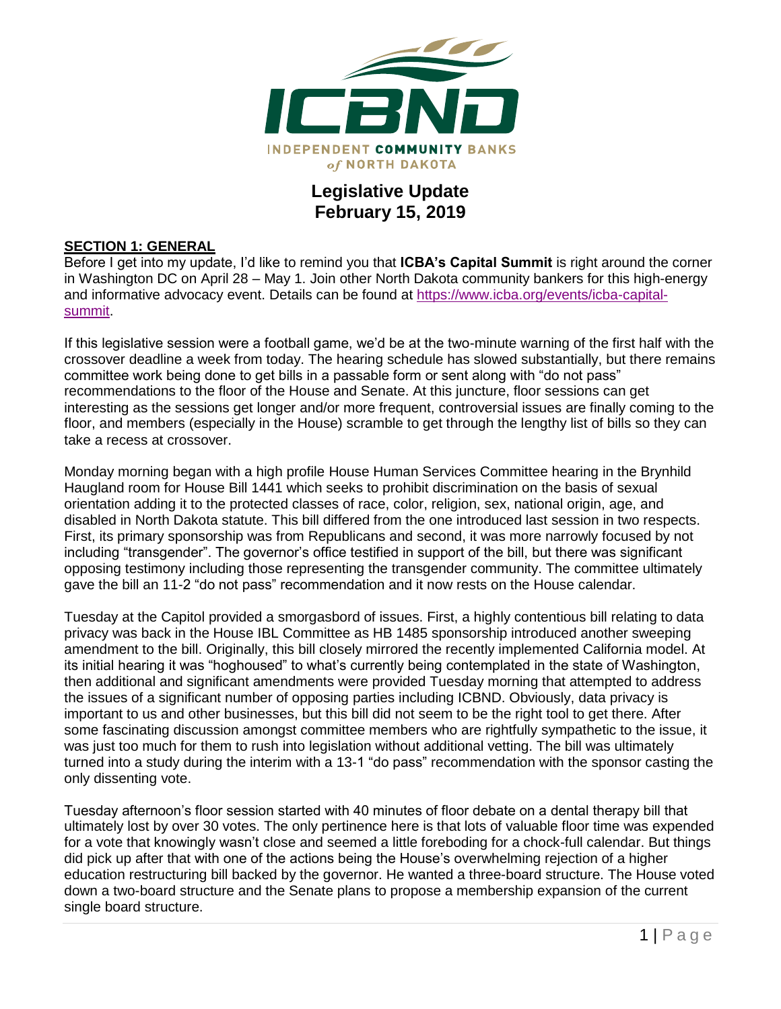

## **Legislative Update February 15, 2019**

#### **SECTION 1: GENERAL**

Before I get into my update, I'd like to remind you that **ICBA's Capital Summit** is right around the corner in Washington DC on April 28 – May 1. Join other North Dakota community bankers for this high-energy and informative advocacy event. Details can be found at [https://www.icba.org/events/icba-capital](https://www.icba.org/events/icba-capital-summit)[summit.](https://www.icba.org/events/icba-capital-summit)

If this legislative session were a football game, we'd be at the two-minute warning of the first half with the crossover deadline a week from today. The hearing schedule has slowed substantially, but there remains committee work being done to get bills in a passable form or sent along with "do not pass" recommendations to the floor of the House and Senate. At this juncture, floor sessions can get interesting as the sessions get longer and/or more frequent, controversial issues are finally coming to the floor, and members (especially in the House) scramble to get through the lengthy list of bills so they can take a recess at crossover.

Monday morning began with a high profile House Human Services Committee hearing in the Brynhild Haugland room for House Bill 1441 which seeks to prohibit discrimination on the basis of sexual orientation adding it to the protected classes of race, color, religion, sex, national origin, age, and disabled in North Dakota statute. This bill differed from the one introduced last session in two respects. First, its primary sponsorship was from Republicans and second, it was more narrowly focused by not including "transgender". The governor's office testified in support of the bill, but there was significant opposing testimony including those representing the transgender community. The committee ultimately gave the bill an 11-2 "do not pass" recommendation and it now rests on the House calendar.

Tuesday at the Capitol provided a smorgasbord of issues. First, a highly contentious bill relating to data privacy was back in the House IBL Committee as HB 1485 sponsorship introduced another sweeping amendment to the bill. Originally, this bill closely mirrored the recently implemented California model. At its initial hearing it was "hoghoused" to what's currently being contemplated in the state of Washington, then additional and significant amendments were provided Tuesday morning that attempted to address the issues of a significant number of opposing parties including ICBND. Obviously, data privacy is important to us and other businesses, but this bill did not seem to be the right tool to get there. After some fascinating discussion amongst committee members who are rightfully sympathetic to the issue, it was just too much for them to rush into legislation without additional vetting. The bill was ultimately turned into a study during the interim with a 13-1 "do pass" recommendation with the sponsor casting the only dissenting vote.

Tuesday afternoon's floor session started with 40 minutes of floor debate on a dental therapy bill that ultimately lost by over 30 votes. The only pertinence here is that lots of valuable floor time was expended for a vote that knowingly wasn't close and seemed a little foreboding for a chock-full calendar. But things did pick up after that with one of the actions being the House's overwhelming rejection of a higher education restructuring bill backed by the governor. He wanted a three-board structure. The House voted down a two-board structure and the Senate plans to propose a membership expansion of the current single board structure.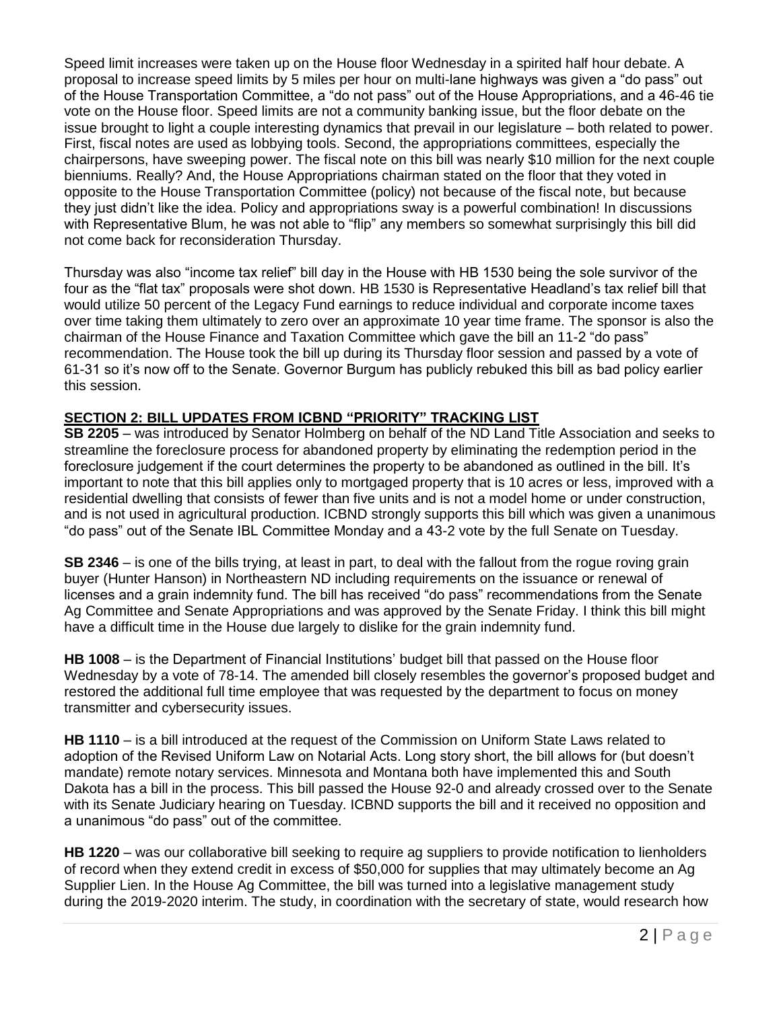Speed limit increases were taken up on the House floor Wednesday in a spirited half hour debate. A proposal to increase speed limits by 5 miles per hour on multi-lane highways was given a "do pass" out of the House Transportation Committee, a "do not pass" out of the House Appropriations, and a 46-46 tie vote on the House floor. Speed limits are not a community banking issue, but the floor debate on the issue brought to light a couple interesting dynamics that prevail in our legislature – both related to power. First, fiscal notes are used as lobbying tools. Second, the appropriations committees, especially the chairpersons, have sweeping power. The fiscal note on this bill was nearly \$10 million for the next couple bienniums. Really? And, the House Appropriations chairman stated on the floor that they voted in opposite to the House Transportation Committee (policy) not because of the fiscal note, but because they just didn't like the idea. Policy and appropriations sway is a powerful combination! In discussions with Representative Blum, he was not able to "flip" any members so somewhat surprisingly this bill did not come back for reconsideration Thursday.

Thursday was also "income tax relief" bill day in the House with HB 1530 being the sole survivor of the four as the "flat tax" proposals were shot down. HB 1530 is Representative Headland's tax relief bill that would utilize 50 percent of the Legacy Fund earnings to reduce individual and corporate income taxes over time taking them ultimately to zero over an approximate 10 year time frame. The sponsor is also the chairman of the House Finance and Taxation Committee which gave the bill an 11-2 "do pass" recommendation. The House took the bill up during its Thursday floor session and passed by a vote of 61-31 so it's now off to the Senate. Governor Burgum has publicly rebuked this bill as bad policy earlier this session.

#### **SECTION 2: BILL UPDATES FROM ICBND "PRIORITY" TRACKING LIST**

**SB 2205** – was introduced by Senator Holmberg on behalf of the ND Land Title Association and seeks to streamline the foreclosure process for abandoned property by eliminating the redemption period in the foreclosure judgement if the court determines the property to be abandoned as outlined in the bill. It's important to note that this bill applies only to mortgaged property that is 10 acres or less, improved with a residential dwelling that consists of fewer than five units and is not a model home or under construction, and is not used in agricultural production. ICBND strongly supports this bill which was given a unanimous "do pass" out of the Senate IBL Committee Monday and a 43-2 vote by the full Senate on Tuesday.

**SB 2346** – is one of the bills trying, at least in part, to deal with the fallout from the rogue roving grain buyer (Hunter Hanson) in Northeastern ND including requirements on the issuance or renewal of licenses and a grain indemnity fund. The bill has received "do pass" recommendations from the Senate Ag Committee and Senate Appropriations and was approved by the Senate Friday. I think this bill might have a difficult time in the House due largely to dislike for the grain indemnity fund.

**HB 1008** – is the Department of Financial Institutions' budget bill that passed on the House floor Wednesday by a vote of 78-14. The amended bill closely resembles the governor's proposed budget and restored the additional full time employee that was requested by the department to focus on money transmitter and cybersecurity issues.

**HB 1110** – is a bill introduced at the request of the Commission on Uniform State Laws related to adoption of the Revised Uniform Law on Notarial Acts. Long story short, the bill allows for (but doesn't mandate) remote notary services. Minnesota and Montana both have implemented this and South Dakota has a bill in the process. This bill passed the House 92-0 and already crossed over to the Senate with its Senate Judiciary hearing on Tuesday. ICBND supports the bill and it received no opposition and a unanimous "do pass" out of the committee.

**HB 1220** – was our collaborative bill seeking to require ag suppliers to provide notification to lienholders of record when they extend credit in excess of \$50,000 for supplies that may ultimately become an Ag Supplier Lien. In the House Ag Committee, the bill was turned into a legislative management study during the 2019-2020 interim. The study, in coordination with the secretary of state, would research how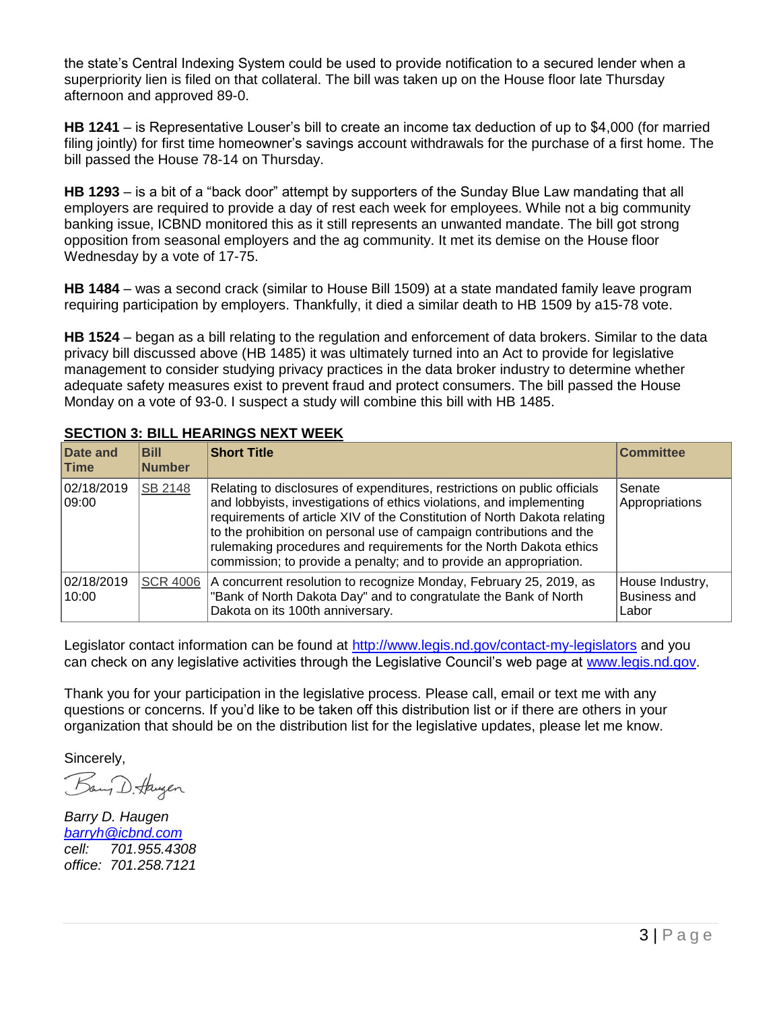the state's Central Indexing System could be used to provide notification to a secured lender when a superpriority lien is filed on that collateral. The bill was taken up on the House floor late Thursday afternoon and approved 89-0.

**HB 1241** – is Representative Louser's bill to create an income tax deduction of up to \$4,000 (for married filing jointly) for first time homeowner's savings account withdrawals for the purchase of a first home. The bill passed the House 78-14 on Thursday.

**HB 1293** – is a bit of a "back door" attempt by supporters of the Sunday Blue Law mandating that all employers are required to provide a day of rest each week for employees. While not a big community banking issue, ICBND monitored this as it still represents an unwanted mandate. The bill got strong opposition from seasonal employers and the ag community. It met its demise on the House floor Wednesday by a vote of 17-75.

**HB 1484** – was a second crack (similar to House Bill 1509) at a state mandated family leave program requiring participation by employers. Thankfully, it died a similar death to HB 1509 by a15-78 vote.

**HB 1524** – began as a bill relating to the regulation and enforcement of data brokers. Similar to the data privacy bill discussed above (HB 1485) it was ultimately turned into an Act to provide for legislative management to consider studying privacy practices in the data broker industry to determine whether adequate safety measures exist to prevent fraud and protect consumers. The bill passed the House Monday on a vote of 93-0. I suspect a study will combine this bill with HB 1485.

| Date and<br>∣Time    | <b>Bill</b><br><b>Number</b> | <b>Short Title</b>                                                                                                                                                                                                                                                                                                                                                                                                                                | <b>Committee</b>                                |
|----------------------|------------------------------|---------------------------------------------------------------------------------------------------------------------------------------------------------------------------------------------------------------------------------------------------------------------------------------------------------------------------------------------------------------------------------------------------------------------------------------------------|-------------------------------------------------|
| 02/18/2019<br> 09:00 | SB 2148                      | Relating to disclosures of expenditures, restrictions on public officials<br>and lobbyists, investigations of ethics violations, and implementing<br>requirements of article XIV of the Constitution of North Dakota relating<br>to the prohibition on personal use of campaign contributions and the<br>rulemaking procedures and requirements for the North Dakota ethics<br>commission; to provide a penalty; and to provide an appropriation. | Senate<br>Appropriations                        |
| 02/18/2019<br>10:00  | <b>SCR 4006</b>              | A concurrent resolution to recognize Monday, February 25, 2019, as<br>"Bank of North Dakota Day" and to congratulate the Bank of North<br>Dakota on its 100th anniversary.                                                                                                                                                                                                                                                                        | House Industry,<br><b>Business and</b><br>Labor |

### **SECTION 3: BILL HEARINGS NEXT WEEK**

Legislator contact information can be found at<http://www.legis.nd.gov/contact-my-legislators> and you can check on any legislative activities through the Legislative Council's web page at [www.legis.nd.gov.](http://www.legis.nd.gov/)

Thank you for your participation in the legislative process. Please call, email or text me with any questions or concerns. If you'd like to be taken off this distribution list or if there are others in your organization that should be on the distribution list for the legislative updates, please let me know.

Sincerely,

Bany D. Haugen

*Barry D. Haugen [barryh@icbnd.com](mailto:barryh@icbnd.com) cell: 701.955.4308 office: 701.258.7121*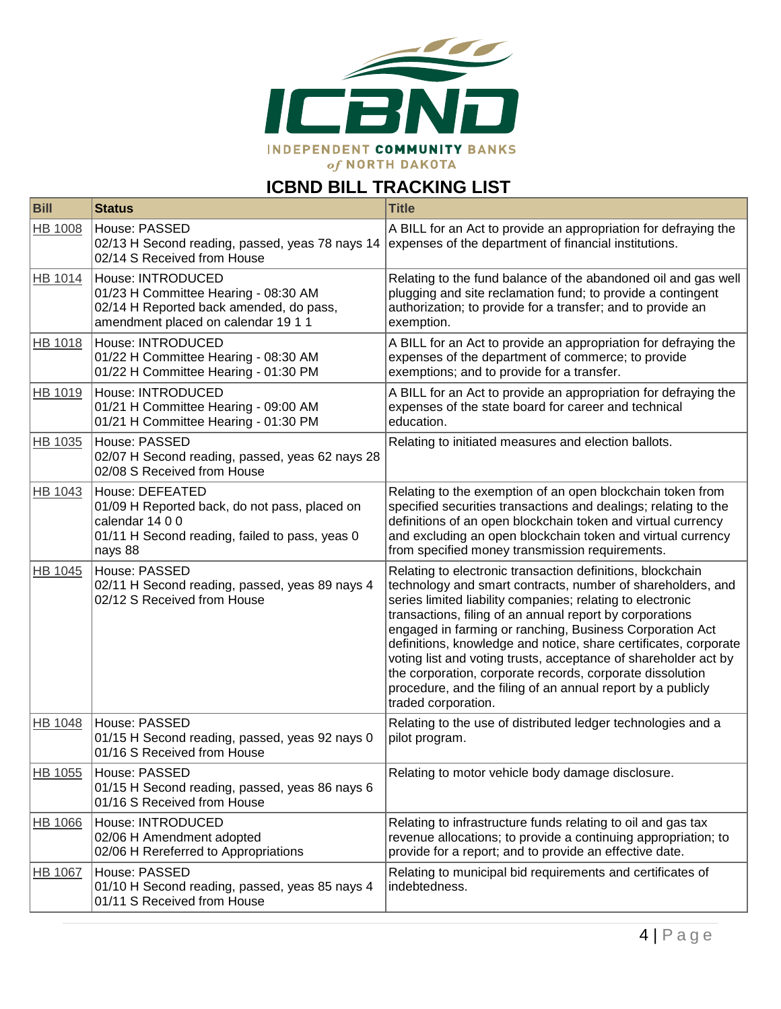

# **ICBND BILL TRACKING LIST**

| <b>Bill</b>    | <b>Status</b>                                                                                                                                    | <b>Title</b>                                                                                                                                                                                                                                                                                                                                                                                                                                                                                                                                                                                              |
|----------------|--------------------------------------------------------------------------------------------------------------------------------------------------|-----------------------------------------------------------------------------------------------------------------------------------------------------------------------------------------------------------------------------------------------------------------------------------------------------------------------------------------------------------------------------------------------------------------------------------------------------------------------------------------------------------------------------------------------------------------------------------------------------------|
| <b>HB 1008</b> | House: PASSED<br>02/13 H Second reading, passed, yeas 78 nays 14<br>02/14 S Received from House                                                  | A BILL for an Act to provide an appropriation for defraying the<br>expenses of the department of financial institutions.                                                                                                                                                                                                                                                                                                                                                                                                                                                                                  |
| HB 1014        | House: INTRODUCED<br>01/23 H Committee Hearing - 08:30 AM<br>02/14 H Reported back amended, do pass,<br>amendment placed on calendar 19 1 1      | Relating to the fund balance of the abandoned oil and gas well<br>plugging and site reclamation fund; to provide a contingent<br>authorization; to provide for a transfer; and to provide an<br>exemption.                                                                                                                                                                                                                                                                                                                                                                                                |
| HB 1018        | House: INTRODUCED<br>01/22 H Committee Hearing - 08:30 AM<br>01/22 H Committee Hearing - 01:30 PM                                                | A BILL for an Act to provide an appropriation for defraying the<br>expenses of the department of commerce; to provide<br>exemptions; and to provide for a transfer.                                                                                                                                                                                                                                                                                                                                                                                                                                       |
| HB 1019        | House: INTRODUCED<br>01/21 H Committee Hearing - 09:00 AM<br>01/21 H Committee Hearing - 01:30 PM                                                | A BILL for an Act to provide an appropriation for defraying the<br>expenses of the state board for career and technical<br>education.                                                                                                                                                                                                                                                                                                                                                                                                                                                                     |
| HB 1035        | House: PASSED<br>02/07 H Second reading, passed, yeas 62 nays 28<br>02/08 S Received from House                                                  | Relating to initiated measures and election ballots.                                                                                                                                                                                                                                                                                                                                                                                                                                                                                                                                                      |
| HB 1043        | House: DEFEATED<br>01/09 H Reported back, do not pass, placed on<br>calendar 14 0 0<br>01/11 H Second reading, failed to pass, yeas 0<br>nays 88 | Relating to the exemption of an open blockchain token from<br>specified securities transactions and dealings; relating to the<br>definitions of an open blockchain token and virtual currency<br>and excluding an open blockchain token and virtual currency<br>from specified money transmission requirements.                                                                                                                                                                                                                                                                                           |
| HB 1045        | House: PASSED<br>02/11 H Second reading, passed, yeas 89 nays 4<br>02/12 S Received from House                                                   | Relating to electronic transaction definitions, blockchain<br>technology and smart contracts, number of shareholders, and<br>series limited liability companies; relating to electronic<br>transactions, filing of an annual report by corporations<br>engaged in farming or ranching, Business Corporation Act<br>definitions, knowledge and notice, share certificates, corporate<br>voting list and voting trusts, acceptance of shareholder act by<br>the corporation, corporate records, corporate dissolution<br>procedure, and the filing of an annual report by a publicly<br>traded corporation. |
| HB 1048        | House: PASSED<br>01/15 H Second reading, passed, yeas 92 nays 0<br>01/16 S Received from House                                                   | Relating to the use of distributed ledger technologies and a<br>pilot program.                                                                                                                                                                                                                                                                                                                                                                                                                                                                                                                            |
| HB 1055        | House: PASSED<br>01/15 H Second reading, passed, yeas 86 nays 6<br>01/16 S Received from House                                                   | Relating to motor vehicle body damage disclosure.                                                                                                                                                                                                                                                                                                                                                                                                                                                                                                                                                         |
| HB 1066        | House: INTRODUCED<br>02/06 H Amendment adopted<br>02/06 H Rereferred to Appropriations                                                           | Relating to infrastructure funds relating to oil and gas tax<br>revenue allocations; to provide a continuing appropriation; to<br>provide for a report; and to provide an effective date.                                                                                                                                                                                                                                                                                                                                                                                                                 |
| <b>HB 1067</b> | House: PASSED<br>01/10 H Second reading, passed, yeas 85 nays 4<br>01/11 S Received from House                                                   | Relating to municipal bid requirements and certificates of<br>indebtedness.                                                                                                                                                                                                                                                                                                                                                                                                                                                                                                                               |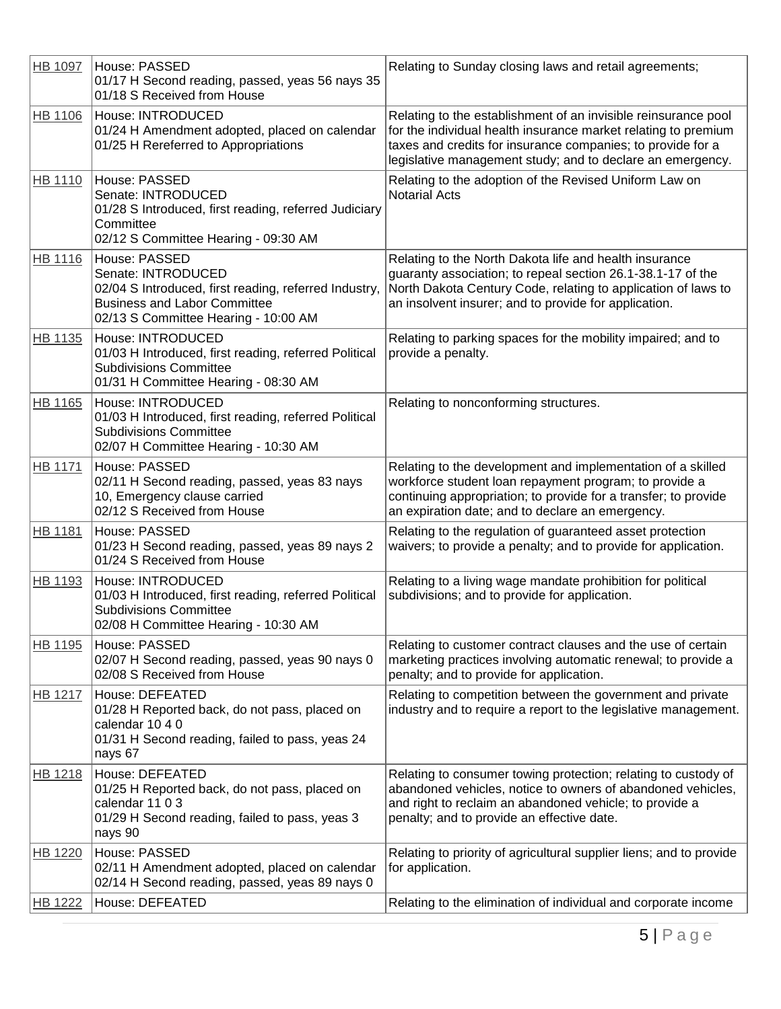| HB 1097        | House: PASSED<br>01/17 H Second reading, passed, yeas 56 nays 35<br>01/18 S Received from House                                                                             | Relating to Sunday closing laws and retail agreements;                                                                                                                                                                                                        |
|----------------|-----------------------------------------------------------------------------------------------------------------------------------------------------------------------------|---------------------------------------------------------------------------------------------------------------------------------------------------------------------------------------------------------------------------------------------------------------|
| <b>HB 1106</b> | House: INTRODUCED<br>01/24 H Amendment adopted, placed on calendar<br>01/25 H Rereferred to Appropriations                                                                  | Relating to the establishment of an invisible reinsurance pool<br>for the individual health insurance market relating to premium<br>taxes and credits for insurance companies; to provide for a<br>legislative management study; and to declare an emergency. |
| HB 1110        | House: PASSED<br>Senate: INTRODUCED<br>01/28 S Introduced, first reading, referred Judiciary<br>Committee<br>02/12 S Committee Hearing - 09:30 AM                           | Relating to the adoption of the Revised Uniform Law on<br><b>Notarial Acts</b>                                                                                                                                                                                |
| HB 1116        | House: PASSED<br>Senate: INTRODUCED<br>02/04 S Introduced, first reading, referred Industry,<br><b>Business and Labor Committee</b><br>02/13 S Committee Hearing - 10:00 AM | Relating to the North Dakota life and health insurance<br>guaranty association; to repeal section 26.1-38.1-17 of the<br>North Dakota Century Code, relating to application of laws to<br>an insolvent insurer; and to provide for application.               |
| HB 1135        | House: INTRODUCED<br>01/03 H Introduced, first reading, referred Political<br><b>Subdivisions Committee</b><br>01/31 H Committee Hearing - 08:30 AM                         | Relating to parking spaces for the mobility impaired; and to<br>provide a penalty.                                                                                                                                                                            |
| HB 1165        | House: INTRODUCED<br>01/03 H Introduced, first reading, referred Political<br><b>Subdivisions Committee</b><br>02/07 H Committee Hearing - 10:30 AM                         | Relating to nonconforming structures.                                                                                                                                                                                                                         |
| HB 1171        | House: PASSED<br>02/11 H Second reading, passed, yeas 83 nays<br>10, Emergency clause carried<br>02/12 S Received from House                                                | Relating to the development and implementation of a skilled<br>workforce student loan repayment program; to provide a<br>continuing appropriation; to provide for a transfer; to provide<br>an expiration date; and to declare an emergency.                  |
| HB 1181        | House: PASSED<br>01/23 H Second reading, passed, yeas 89 nays 2<br>01/24 S Received from House                                                                              | Relating to the regulation of guaranteed asset protection<br>waivers; to provide a penalty; and to provide for application.                                                                                                                                   |
| HB 1193        | House: INTRODUCED<br>01/03 H Introduced, first reading, referred Political<br><b>Subdivisions Committee</b><br>02/08 H Committee Hearing - 10:30 AM                         | Relating to a living wage mandate prohibition for political<br>subdivisions; and to provide for application.                                                                                                                                                  |
| HB 1195        | House: PASSED<br>02/07 H Second reading, passed, yeas 90 nays 0<br>02/08 S Received from House                                                                              | Relating to customer contract clauses and the use of certain<br>marketing practices involving automatic renewal; to provide a<br>penalty; and to provide for application.                                                                                     |
| HB 1217        | House: DEFEATED<br>01/28 H Reported back, do not pass, placed on<br>calendar 10 4 0<br>01/31 H Second reading, failed to pass, yeas 24<br>nays 67                           | Relating to competition between the government and private<br>industry and to require a report to the legislative management.                                                                                                                                 |
| HB 1218        | House: DEFEATED<br>01/25 H Reported back, do not pass, placed on<br>calendar 11 0 3<br>01/29 H Second reading, failed to pass, yeas 3<br>nays 90                            | Relating to consumer towing protection; relating to custody of<br>abandoned vehicles, notice to owners of abandoned vehicles,<br>and right to reclaim an abandoned vehicle; to provide a<br>penalty; and to provide an effective date.                        |
| HB 1220        | House: PASSED<br>02/11 H Amendment adopted, placed on calendar<br>02/14 H Second reading, passed, yeas 89 nays 0                                                            | Relating to priority of agricultural supplier liens; and to provide<br>for application.                                                                                                                                                                       |
| HB 1222        | House: DEFEATED                                                                                                                                                             | Relating to the elimination of individual and corporate income                                                                                                                                                                                                |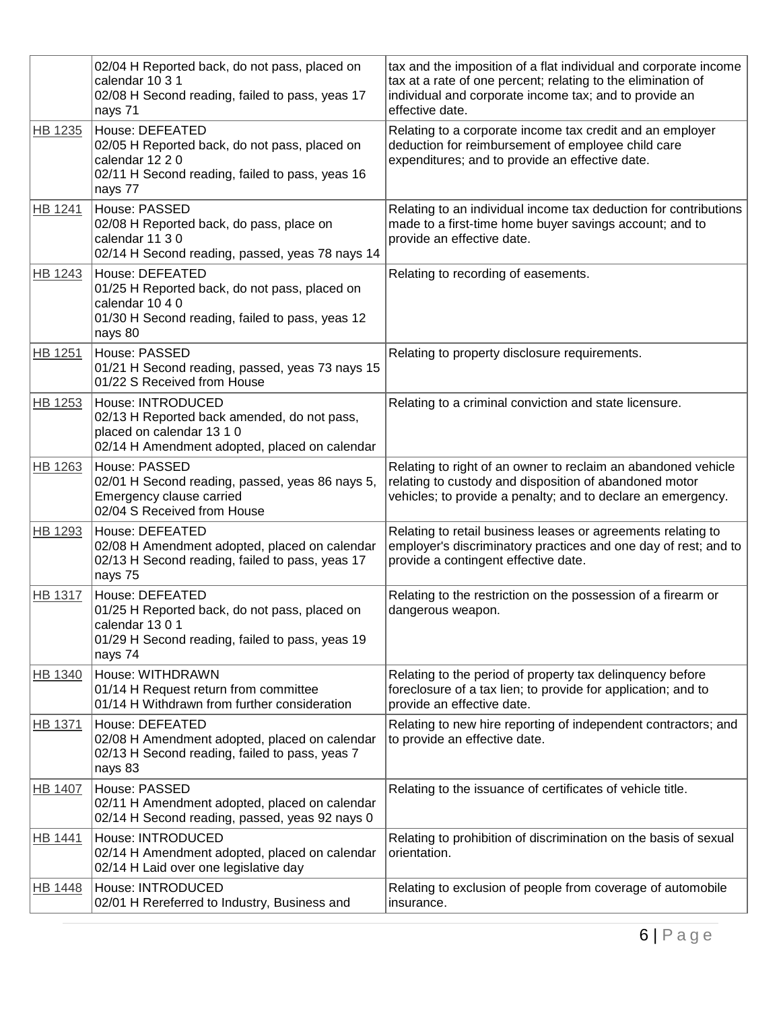|                | 02/04 H Reported back, do not pass, placed on<br>calendar 10 3 1<br>02/08 H Second reading, failed to pass, yeas 17<br>nays 71                    | tax and the imposition of a flat individual and corporate income<br>tax at a rate of one percent; relating to the elimination of<br>individual and corporate income tax; and to provide an<br>effective date. |
|----------------|---------------------------------------------------------------------------------------------------------------------------------------------------|---------------------------------------------------------------------------------------------------------------------------------------------------------------------------------------------------------------|
| HB 1235        | House: DEFEATED<br>02/05 H Reported back, do not pass, placed on<br>calendar 12 2 0<br>02/11 H Second reading, failed to pass, yeas 16<br>nays 77 | Relating to a corporate income tax credit and an employer<br>deduction for reimbursement of employee child care<br>expenditures; and to provide an effective date.                                            |
| HB 1241        | House: PASSED<br>02/08 H Reported back, do pass, place on<br>calendar 11 3 0<br>02/14 H Second reading, passed, yeas 78 nays 14                   | Relating to an individual income tax deduction for contributions<br>made to a first-time home buyer savings account; and to<br>provide an effective date.                                                     |
| <b>HB 1243</b> | House: DEFEATED<br>01/25 H Reported back, do not pass, placed on<br>calendar 10 4 0<br>01/30 H Second reading, failed to pass, yeas 12<br>nays 80 | Relating to recording of easements.                                                                                                                                                                           |
| <b>HB 1251</b> | House: PASSED<br>01/21 H Second reading, passed, yeas 73 nays 15<br>01/22 S Received from House                                                   | Relating to property disclosure requirements.                                                                                                                                                                 |
| HB 1253        | House: INTRODUCED<br>02/13 H Reported back amended, do not pass,<br>placed on calendar 13 1 0<br>02/14 H Amendment adopted, placed on calendar    | Relating to a criminal conviction and state licensure.                                                                                                                                                        |
| HB 1263        | House: PASSED<br>02/01 H Second reading, passed, yeas 86 nays 5,<br>Emergency clause carried<br>02/04 S Received from House                       | Relating to right of an owner to reclaim an abandoned vehicle<br>relating to custody and disposition of abandoned motor<br>vehicles; to provide a penalty; and to declare an emergency.                       |
| HB 1293        | House: DEFEATED<br>02/08 H Amendment adopted, placed on calendar<br>02/13 H Second reading, failed to pass, yeas 17<br>nays 75                    | Relating to retail business leases or agreements relating to<br>employer's discriminatory practices and one day of rest; and to<br>provide a contingent effective date.                                       |
| <b>HB 1317</b> | House: DEFEATED<br>01/25 H Reported back, do not pass, placed on<br>calendar 1301<br>01/29 H Second reading, failed to pass, yeas 19<br>nays 74   | Relating to the restriction on the possession of a firearm or<br>dangerous weapon.                                                                                                                            |
| HB 1340        | House: WITHDRAWN<br>01/14 H Request return from committee<br>01/14 H Withdrawn from further consideration                                         | Relating to the period of property tax delinquency before<br>foreclosure of a tax lien; to provide for application; and to<br>provide an effective date.                                                      |
| <b>HB 1371</b> | House: DEFEATED<br>02/08 H Amendment adopted, placed on calendar<br>02/13 H Second reading, failed to pass, yeas 7<br>nays 83                     | Relating to new hire reporting of independent contractors; and<br>to provide an effective date.                                                                                                               |
| <b>HB 1407</b> | House: PASSED<br>02/11 H Amendment adopted, placed on calendar<br>02/14 H Second reading, passed, yeas 92 nays 0                                  | Relating to the issuance of certificates of vehicle title.                                                                                                                                                    |
| <b>HB 1441</b> | House: INTRODUCED<br>02/14 H Amendment adopted, placed on calendar<br>02/14 H Laid over one legislative day                                       | Relating to prohibition of discrimination on the basis of sexual<br>orientation.                                                                                                                              |
| <b>HB 1448</b> | House: INTRODUCED<br>02/01 H Rereferred to Industry, Business and                                                                                 | Relating to exclusion of people from coverage of automobile<br>insurance.                                                                                                                                     |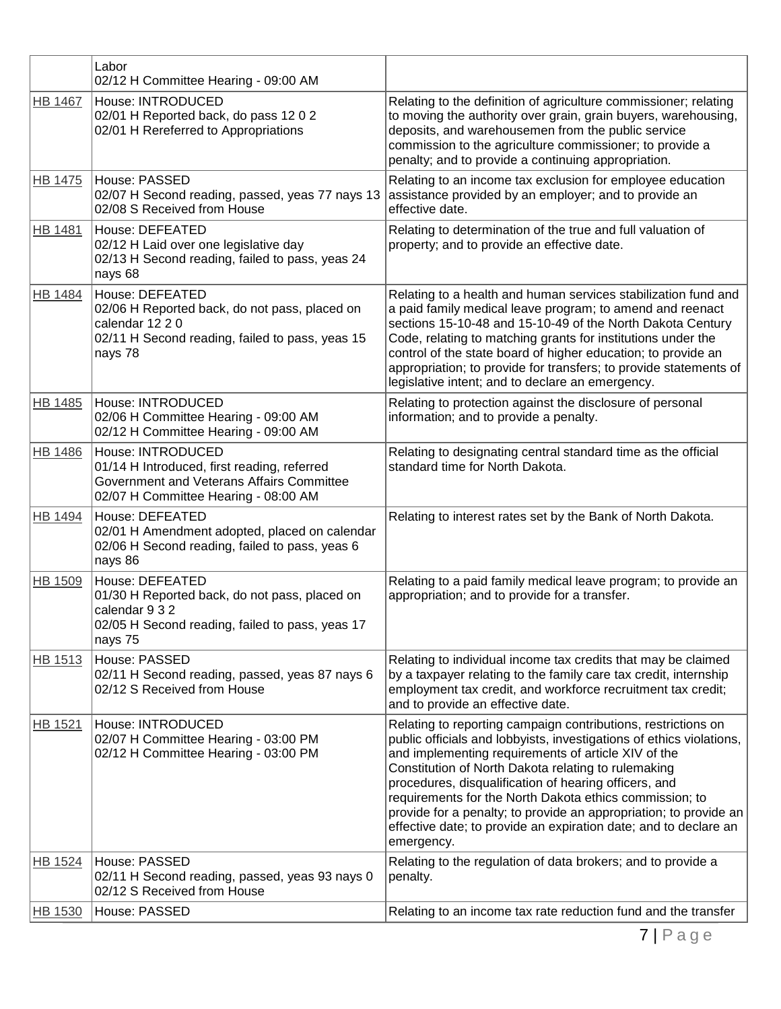|                | Labor<br>02/12 H Committee Hearing - 09:00 AM                                                                                                         |                                                                                                                                                                                                                                                                                                                                                                                                                                                                                                                                |
|----------------|-------------------------------------------------------------------------------------------------------------------------------------------------------|--------------------------------------------------------------------------------------------------------------------------------------------------------------------------------------------------------------------------------------------------------------------------------------------------------------------------------------------------------------------------------------------------------------------------------------------------------------------------------------------------------------------------------|
| <b>HB 1467</b> | House: INTRODUCED<br>02/01 H Reported back, do pass 12 0 2<br>02/01 H Rereferred to Appropriations                                                    | Relating to the definition of agriculture commissioner; relating<br>to moving the authority over grain, grain buyers, warehousing,<br>deposits, and warehousemen from the public service<br>commission to the agriculture commissioner; to provide a<br>penalty; and to provide a continuing appropriation.                                                                                                                                                                                                                    |
| HB 1475        | <b>House: PASSED</b><br>02/07 H Second reading, passed, yeas 77 nays 13<br>02/08 S Received from House                                                | Relating to an income tax exclusion for employee education<br>assistance provided by an employer; and to provide an<br>effective date.                                                                                                                                                                                                                                                                                                                                                                                         |
| <b>HB 1481</b> | House: DEFEATED<br>02/12 H Laid over one legislative day<br>02/13 H Second reading, failed to pass, yeas 24<br>nays 68                                | Relating to determination of the true and full valuation of<br>property; and to provide an effective date.                                                                                                                                                                                                                                                                                                                                                                                                                     |
| <b>HB 1484</b> | House: DEFEATED<br>02/06 H Reported back, do not pass, placed on<br>calendar 12 2 0<br>02/11 H Second reading, failed to pass, yeas 15<br>nays 78     | Relating to a health and human services stabilization fund and<br>a paid family medical leave program; to amend and reenact<br>sections 15-10-48 and 15-10-49 of the North Dakota Century<br>Code, relating to matching grants for institutions under the<br>control of the state board of higher education; to provide an<br>appropriation; to provide for transfers; to provide statements of<br>legislative intent; and to declare an emergency.                                                                            |
| HB 1485        | House: INTRODUCED<br>02/06 H Committee Hearing - 09:00 AM<br>02/12 H Committee Hearing - 09:00 AM                                                     | Relating to protection against the disclosure of personal<br>information; and to provide a penalty.                                                                                                                                                                                                                                                                                                                                                                                                                            |
| <b>HB 1486</b> | House: INTRODUCED<br>01/14 H Introduced, first reading, referred<br>Government and Veterans Affairs Committee<br>02/07 H Committee Hearing - 08:00 AM | Relating to designating central standard time as the official<br>standard time for North Dakota.                                                                                                                                                                                                                                                                                                                                                                                                                               |
| HB 1494        | House: DEFEATED<br>02/01 H Amendment adopted, placed on calendar<br>02/06 H Second reading, failed to pass, yeas 6<br>nays 86                         | Relating to interest rates set by the Bank of North Dakota.                                                                                                                                                                                                                                                                                                                                                                                                                                                                    |
| <b>HB 1509</b> | House: DEFEATED<br>01/30 H Reported back, do not pass, placed on<br>calendar 9 3 2<br>02/05 H Second reading, failed to pass, yeas 17<br>nays 75      | Relating to a paid family medical leave program; to provide an<br>appropriation; and to provide for a transfer.                                                                                                                                                                                                                                                                                                                                                                                                                |
| <b>HB 1513</b> | House: PASSED<br>02/11 H Second reading, passed, yeas 87 nays 6<br>02/12 S Received from House                                                        | Relating to individual income tax credits that may be claimed<br>by a taxpayer relating to the family care tax credit, internship<br>employment tax credit, and workforce recruitment tax credit;<br>and to provide an effective date.                                                                                                                                                                                                                                                                                         |
| HB 1521        | House: INTRODUCED<br>02/07 H Committee Hearing - 03:00 PM<br>02/12 H Committee Hearing - 03:00 PM                                                     | Relating to reporting campaign contributions, restrictions on<br>public officials and lobbyists, investigations of ethics violations,<br>and implementing requirements of article XIV of the<br>Constitution of North Dakota relating to rulemaking<br>procedures, disqualification of hearing officers, and<br>requirements for the North Dakota ethics commission; to<br>provide for a penalty; to provide an appropriation; to provide an<br>effective date; to provide an expiration date; and to declare an<br>emergency. |
| HB 1524        | House: PASSED<br>02/11 H Second reading, passed, yeas 93 nays 0<br>02/12 S Received from House                                                        | Relating to the regulation of data brokers; and to provide a<br>penalty.                                                                                                                                                                                                                                                                                                                                                                                                                                                       |
| <b>HB 1530</b> | House: PASSED                                                                                                                                         | Relating to an income tax rate reduction fund and the transfer                                                                                                                                                                                                                                                                                                                                                                                                                                                                 |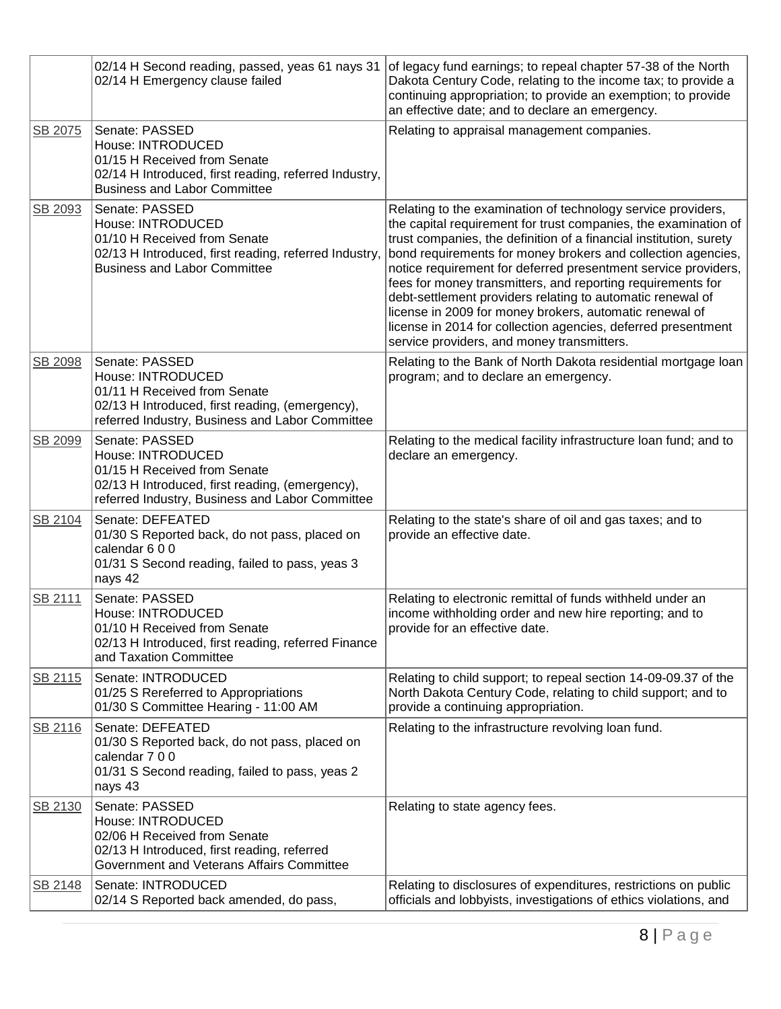|         | 02/14 H Second reading, passed, yeas 61 nays 31<br>02/14 H Emergency clause failed                                                                                        | of legacy fund earnings; to repeal chapter 57-38 of the North<br>Dakota Century Code, relating to the income tax; to provide a<br>continuing appropriation; to provide an exemption; to provide<br>an effective date; and to declare an emergency.                                                                                                                                                                                                                                                                                                                                                                                             |
|---------|---------------------------------------------------------------------------------------------------------------------------------------------------------------------------|------------------------------------------------------------------------------------------------------------------------------------------------------------------------------------------------------------------------------------------------------------------------------------------------------------------------------------------------------------------------------------------------------------------------------------------------------------------------------------------------------------------------------------------------------------------------------------------------------------------------------------------------|
| SB 2075 | Senate: PASSED<br>House: INTRODUCED<br>01/15 H Received from Senate<br>02/14 H Introduced, first reading, referred Industry,<br><b>Business and Labor Committee</b>       | Relating to appraisal management companies.                                                                                                                                                                                                                                                                                                                                                                                                                                                                                                                                                                                                    |
| SB 2093 | Senate: PASSED<br>House: INTRODUCED<br>01/10 H Received from Senate<br>02/13 H Introduced, first reading, referred Industry,<br><b>Business and Labor Committee</b>       | Relating to the examination of technology service providers,<br>the capital requirement for trust companies, the examination of<br>trust companies, the definition of a financial institution, surety<br>bond requirements for money brokers and collection agencies,<br>notice requirement for deferred presentment service providers,<br>fees for money transmitters, and reporting requirements for<br>debt-settlement providers relating to automatic renewal of<br>license in 2009 for money brokers, automatic renewal of<br>license in 2014 for collection agencies, deferred presentment<br>service providers, and money transmitters. |
| SB 2098 | Senate: PASSED<br>House: INTRODUCED<br>01/11 H Received from Senate<br>02/13 H Introduced, first reading, (emergency),<br>referred Industry, Business and Labor Committee | Relating to the Bank of North Dakota residential mortgage loan<br>program; and to declare an emergency.                                                                                                                                                                                                                                                                                                                                                                                                                                                                                                                                        |
| SB 2099 | Senate: PASSED<br>House: INTRODUCED<br>01/15 H Received from Senate<br>02/13 H Introduced, first reading, (emergency),<br>referred Industry, Business and Labor Committee | Relating to the medical facility infrastructure loan fund; and to<br>declare an emergency.                                                                                                                                                                                                                                                                                                                                                                                                                                                                                                                                                     |
| SB 2104 | Senate: DEFEATED<br>01/30 S Reported back, do not pass, placed on<br>calendar 6 0 0<br>01/31 S Second reading, failed to pass, yeas 3<br>nays 42                          | Relating to the state's share of oil and gas taxes; and to<br>provide an effective date.                                                                                                                                                                                                                                                                                                                                                                                                                                                                                                                                                       |
| SB 2111 | Senate: PASSED<br>House: INTRODUCED<br>01/10 H Received from Senate<br>02/13 H Introduced, first reading, referred Finance<br>and Taxation Committee                      | Relating to electronic remittal of funds withheld under an<br>income withholding order and new hire reporting; and to<br>provide for an effective date.                                                                                                                                                                                                                                                                                                                                                                                                                                                                                        |
| SB 2115 | Senate: INTRODUCED<br>01/25 S Rereferred to Appropriations<br>01/30 S Committee Hearing - 11:00 AM                                                                        | Relating to child support; to repeal section 14-09-09.37 of the<br>North Dakota Century Code, relating to child support; and to<br>provide a continuing appropriation.                                                                                                                                                                                                                                                                                                                                                                                                                                                                         |
| SB 2116 | Senate: DEFEATED<br>01/30 S Reported back, do not pass, placed on<br>calendar 7 0 0<br>01/31 S Second reading, failed to pass, yeas 2<br>nays 43                          | Relating to the infrastructure revolving loan fund.                                                                                                                                                                                                                                                                                                                                                                                                                                                                                                                                                                                            |
| SB 2130 | Senate: PASSED<br>House: INTRODUCED<br>02/06 H Received from Senate<br>02/13 H Introduced, first reading, referred<br>Government and Veterans Affairs Committee           | Relating to state agency fees.                                                                                                                                                                                                                                                                                                                                                                                                                                                                                                                                                                                                                 |
| SB 2148 | Senate: INTRODUCED<br>02/14 S Reported back amended, do pass,                                                                                                             | Relating to disclosures of expenditures, restrictions on public<br>officials and lobbyists, investigations of ethics violations, and                                                                                                                                                                                                                                                                                                                                                                                                                                                                                                           |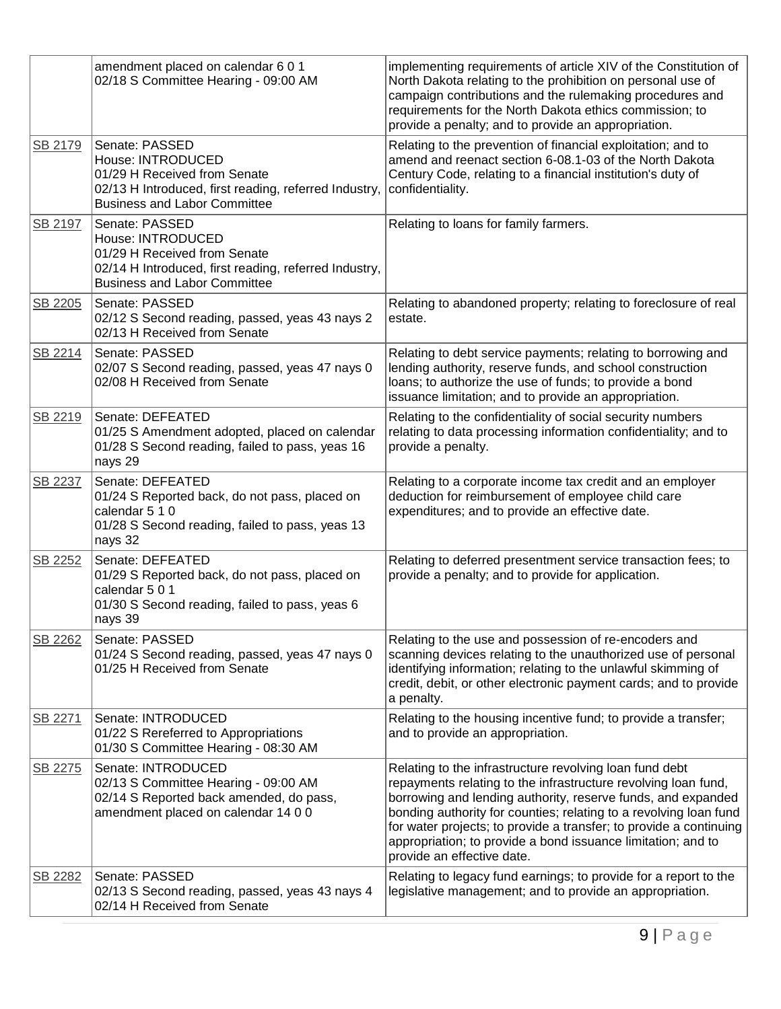|         | amendment placed on calendar 6 0 1<br>02/18 S Committee Hearing - 09:00 AM                                                                                          | implementing requirements of article XIV of the Constitution of<br>North Dakota relating to the prohibition on personal use of<br>campaign contributions and the rulemaking procedures and<br>requirements for the North Dakota ethics commission; to<br>provide a penalty; and to provide an appropriation.                                                                                                                       |
|---------|---------------------------------------------------------------------------------------------------------------------------------------------------------------------|------------------------------------------------------------------------------------------------------------------------------------------------------------------------------------------------------------------------------------------------------------------------------------------------------------------------------------------------------------------------------------------------------------------------------------|
| SB 2179 | Senate: PASSED<br>House: INTRODUCED<br>01/29 H Received from Senate<br>02/13 H Introduced, first reading, referred Industry,<br><b>Business and Labor Committee</b> | Relating to the prevention of financial exploitation; and to<br>amend and reenact section 6-08.1-03 of the North Dakota<br>Century Code, relating to a financial institution's duty of<br>confidentiality.                                                                                                                                                                                                                         |
| SB 2197 | Senate: PASSED<br>House: INTRODUCED<br>01/29 H Received from Senate<br>02/14 H Introduced, first reading, referred Industry,<br><b>Business and Labor Committee</b> | Relating to loans for family farmers.                                                                                                                                                                                                                                                                                                                                                                                              |
| SB 2205 | Senate: PASSED<br>02/12 S Second reading, passed, yeas 43 nays 2<br>02/13 H Received from Senate                                                                    | Relating to abandoned property; relating to foreclosure of real<br>estate.                                                                                                                                                                                                                                                                                                                                                         |
| SB 2214 | Senate: PASSED<br>02/07 S Second reading, passed, yeas 47 nays 0<br>02/08 H Received from Senate                                                                    | Relating to debt service payments; relating to borrowing and<br>lending authority, reserve funds, and school construction<br>loans; to authorize the use of funds; to provide a bond<br>issuance limitation; and to provide an appropriation.                                                                                                                                                                                      |
| SB 2219 | Senate: DEFEATED<br>01/25 S Amendment adopted, placed on calendar<br>01/28 S Second reading, failed to pass, yeas 16<br>nays 29                                     | Relating to the confidentiality of social security numbers<br>relating to data processing information confidentiality; and to<br>provide a penalty.                                                                                                                                                                                                                                                                                |
| SB 2237 | Senate: DEFEATED<br>01/24 S Reported back, do not pass, placed on<br>calendar 5 1 0<br>01/28 S Second reading, failed to pass, yeas 13<br>nays 32                   | Relating to a corporate income tax credit and an employer<br>deduction for reimbursement of employee child care<br>expenditures; and to provide an effective date.                                                                                                                                                                                                                                                                 |
| SB 2252 | Senate: DEFEATED<br>01/29 S Reported back, do not pass, placed on<br>calendar 501<br>01/30 S Second reading, failed to pass, yeas 6<br>nays 39                      | Relating to deferred presentment service transaction fees; to<br>provide a penalty; and to provide for application.                                                                                                                                                                                                                                                                                                                |
| SB 2262 | Senate: PASSED<br>01/24 S Second reading, passed, yeas 47 nays 0<br>01/25 H Received from Senate                                                                    | Relating to the use and possession of re-encoders and<br>scanning devices relating to the unauthorized use of personal<br>identifying information; relating to the unlawful skimming of<br>credit, debit, or other electronic payment cards; and to provide<br>a penalty.                                                                                                                                                          |
| SB 2271 | Senate: INTRODUCED<br>01/22 S Rereferred to Appropriations<br>01/30 S Committee Hearing - 08:30 AM                                                                  | Relating to the housing incentive fund; to provide a transfer;<br>and to provide an appropriation.                                                                                                                                                                                                                                                                                                                                 |
| SB 2275 | Senate: INTRODUCED<br>02/13 S Committee Hearing - 09:00 AM<br>02/14 S Reported back amended, do pass,<br>amendment placed on calendar 14 0 0                        | Relating to the infrastructure revolving loan fund debt<br>repayments relating to the infrastructure revolving loan fund,<br>borrowing and lending authority, reserve funds, and expanded<br>bonding authority for counties; relating to a revolving loan fund<br>for water projects; to provide a transfer; to provide a continuing<br>appropriation; to provide a bond issuance limitation; and to<br>provide an effective date. |
| SB 2282 | Senate: PASSED<br>02/13 S Second reading, passed, yeas 43 nays 4<br>02/14 H Received from Senate                                                                    | Relating to legacy fund earnings; to provide for a report to the<br>legislative management; and to provide an appropriation.                                                                                                                                                                                                                                                                                                       |